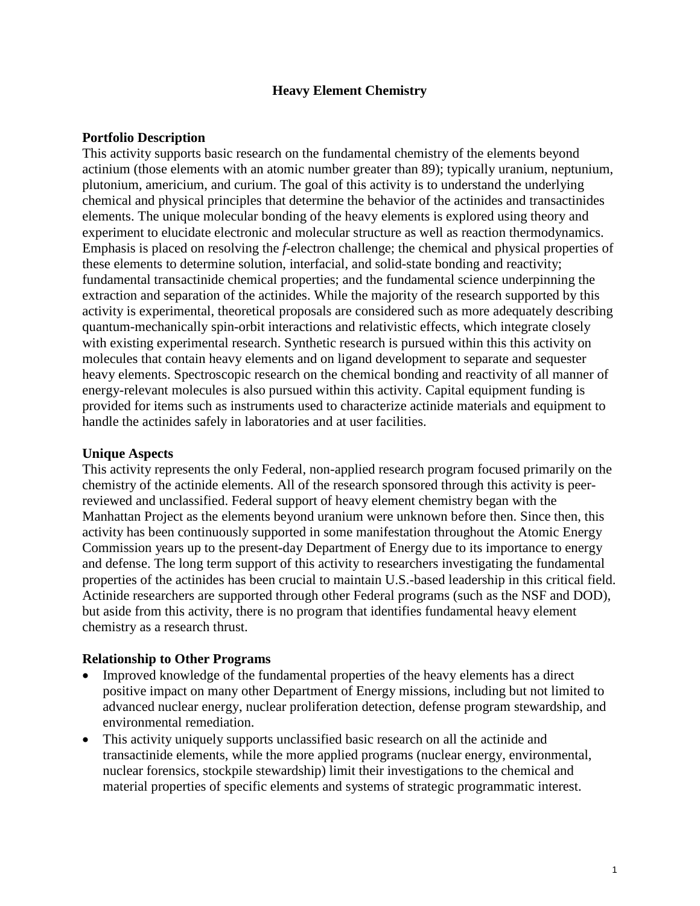## **Heavy Element Chemistry**

## **Portfolio Description**

This activity supports basic research on the fundamental chemistry of the elements beyond actinium (those elements with an atomic number greater than 89); typically uranium, neptunium, plutonium, americium, and curium. The goal of this activity is to understand the underlying chemical and physical principles that determine the behavior of the actinides and transactinides elements. The unique molecular bonding of the heavy elements is explored using theory and experiment to elucidate electronic and molecular structure as well as reaction thermodynamics. Emphasis is placed on resolving the *f*-electron challenge; the chemical and physical properties of these elements to determine solution, interfacial, and solid-state bonding and reactivity; fundamental transactinide chemical properties; and the fundamental science underpinning the extraction and separation of the actinides. While the majority of the research supported by this activity is experimental, theoretical proposals are considered such as more adequately describing quantum-mechanically spin-orbit interactions and relativistic effects, which integrate closely with existing experimental research. Synthetic research is pursued within this this activity on molecules that contain heavy elements and on ligand development to separate and sequester heavy elements. Spectroscopic research on the chemical bonding and reactivity of all manner of energy-relevant molecules is also pursued within this activity. Capital equipment funding is provided for items such as instruments used to characterize actinide materials and equipment to handle the actinides safely in laboratories and at user facilities.

## **Unique Aspects**

This activity represents the only Federal, non-applied research program focused primarily on the chemistry of the actinide elements. All of the research sponsored through this activity is peerreviewed and unclassified. Federal support of heavy element chemistry began with the Manhattan Project as the elements beyond uranium were unknown before then. Since then, this activity has been continuously supported in some manifestation throughout the Atomic Energy Commission years up to the present-day Department of Energy due to its importance to energy and defense. The long term support of this activity to researchers investigating the fundamental properties of the actinides has been crucial to maintain U.S.-based leadership in this critical field. Actinide researchers are supported through other Federal programs (such as the NSF and DOD), but aside from this activity, there is no program that identifies fundamental heavy element chemistry as a research thrust.

## **Relationship to Other Programs**

- Improved knowledge of the fundamental properties of the heavy elements has a direct positive impact on many other Department of Energy missions, including but not limited to advanced nuclear energy, nuclear proliferation detection, defense program stewardship, and environmental remediation.
- This activity uniquely supports unclassified basic research on all the actinide and transactinide elements, while the more applied programs (nuclear energy, environmental, nuclear forensics, stockpile stewardship) limit their investigations to the chemical and material properties of specific elements and systems of strategic programmatic interest.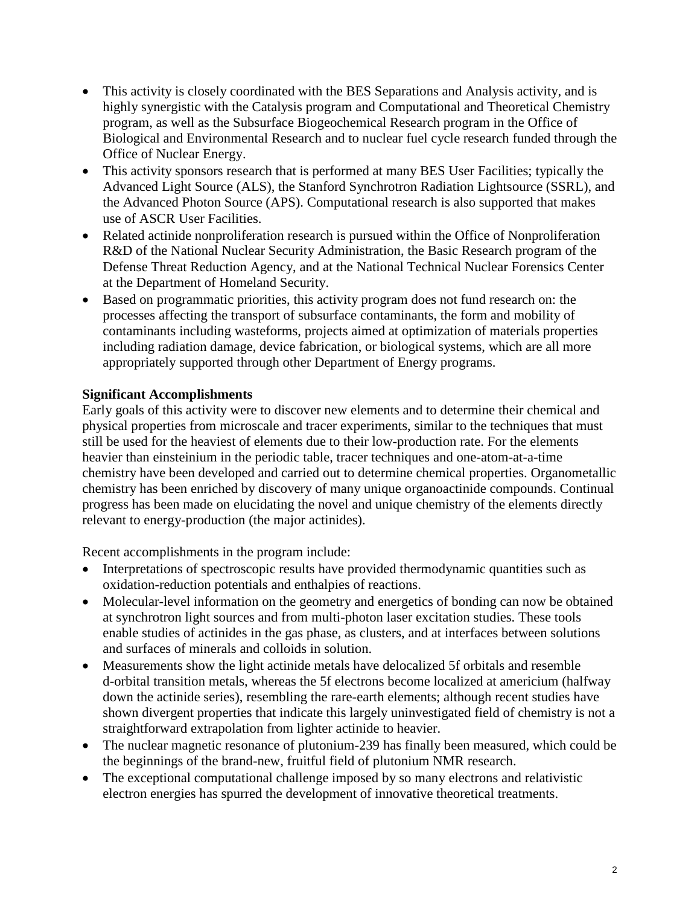- This activity is closely coordinated with the BES Separations and Analysis activity, and is highly synergistic with the Catalysis program and Computational and Theoretical Chemistry program, as well as the Subsurface Biogeochemical Research program in the Office of Biological and Environmental Research and to nuclear fuel cycle research funded through the Office of Nuclear Energy.
- This activity sponsors research that is performed at many BES User Facilities; typically the Advanced Light Source (ALS), the Stanford Synchrotron Radiation Lightsource (SSRL), and the Advanced Photon Source (APS). Computational research is also supported that makes use of ASCR User Facilities.
- Related actinide nonproliferation research is pursued within the Office of Nonproliferation R&D of the National Nuclear Security Administration, the Basic Research program of the Defense Threat Reduction Agency, and at the National Technical Nuclear Forensics Center at the Department of Homeland Security.
- Based on programmatic priorities, this activity program does not fund research on: the processes affecting the transport of subsurface contaminants, the form and mobility of contaminants including wasteforms, projects aimed at optimization of materials properties including radiation damage, device fabrication, or biological systems, which are all more appropriately supported through other Department of Energy programs.

# **Significant Accomplishments**

Early goals of this activity were to discover new elements and to determine their chemical and physical properties from microscale and tracer experiments, similar to the techniques that must still be used for the heaviest of elements due to their low-production rate. For the elements heavier than einsteinium in the periodic table, tracer techniques and one-atom-at-a-time chemistry have been developed and carried out to determine chemical properties. Organometallic chemistry has been enriched by discovery of many unique organoactinide compounds. Continual progress has been made on elucidating the novel and unique chemistry of the elements directly relevant to energy-production (the major actinides).

Recent accomplishments in the program include:

- Interpretations of spectroscopic results have provided thermodynamic quantities such as oxidation-reduction potentials and enthalpies of reactions.
- Molecular-level information on the geometry and energetics of bonding can now be obtained at synchrotron light sources and from multi-photon laser excitation studies. These tools enable studies of actinides in the gas phase, as clusters, and at interfaces between solutions and surfaces of minerals and colloids in solution.
- Measurements show the light actinide metals have delocalized 5f orbitals and resemble d-orbital transition metals, whereas the 5f electrons become localized at americium (halfway down the actinide series), resembling the rare-earth elements; although recent studies have shown divergent properties that indicate this largely uninvestigated field of chemistry is not a straightforward extrapolation from lighter actinide to heavier.
- The nuclear magnetic resonance of plutonium-239 has finally been measured, which could be the beginnings of the brand-new, fruitful field of plutonium NMR research.
- The exceptional computational challenge imposed by so many electrons and relativistic electron energies has spurred the development of innovative theoretical treatments.